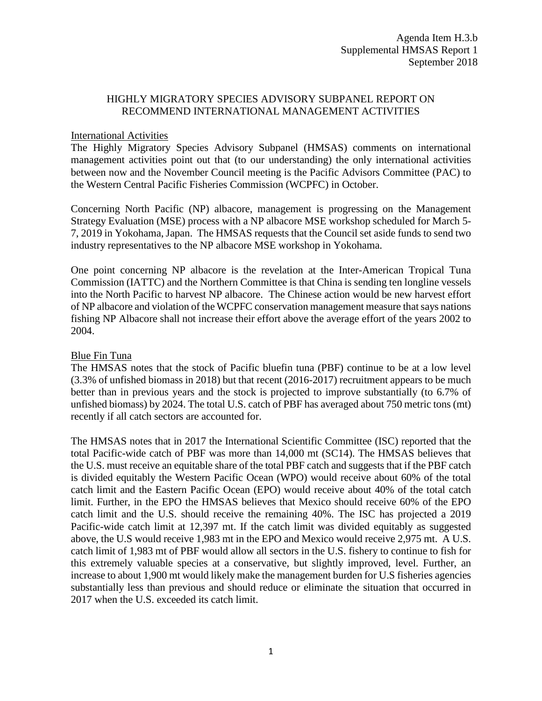## HIGHLY MIGRATORY SPECIES ADVISORY SUBPANEL REPORT ON RECOMMEND INTERNATIONAL MANAGEMENT ACTIVITIES

## International Activities

The Highly Migratory Species Advisory Subpanel (HMSAS) comments on international management activities point out that (to our understanding) the only international activities between now and the November Council meeting is the Pacific Advisors Committee (PAC) to the Western Central Pacific Fisheries Commission (WCPFC) in October.

Concerning North Pacific (NP) albacore, management is progressing on the Management Strategy Evaluation (MSE) process with a NP albacore MSE workshop scheduled for March 5- 7, 2019 in Yokohama, Japan. The HMSAS requests that the Council set aside funds to send two industry representatives to the NP albacore MSE workshop in Yokohama.

One point concerning NP albacore is the revelation at the Inter-American Tropical Tuna Commission (IATTC) and the Northern Committee is that China is sending ten longline vessels into the North Pacific to harvest NP albacore. The Chinese action would be new harvest effort of NP albacore and violation of the WCPFC conservation management measure that says nations fishing NP Albacore shall not increase their effort above the average effort of the years 2002 to 2004.

## Blue Fin Tuna

The HMSAS notes that the stock of Pacific bluefin tuna (PBF) continue to be at a low level (3.3% of unfished biomass in 2018) but that recent (2016-2017) recruitment appears to be much better than in previous years and the stock is projected to improve substantially (to 6.7% of unfished biomass) by 2024. The total U.S. catch of PBF has averaged about 750 metric tons (mt) recently if all catch sectors are accounted for.

The HMSAS notes that in 2017 the International Scientific Committee (ISC) reported that the total Pacific-wide catch of PBF was more than 14,000 mt (SC14). The HMSAS believes that the U.S. must receive an equitable share of the total PBF catch and suggests that if the PBF catch is divided equitably the Western Pacific Ocean (WPO) would receive about 60% of the total catch limit and the Eastern Pacific Ocean (EPO) would receive about 40% of the total catch limit. Further, in the EPO the HMSAS believes that Mexico should receive 60% of the EPO catch limit and the U.S. should receive the remaining 40%. The ISC has projected a 2019 Pacific-wide catch limit at 12,397 mt. If the catch limit was divided equitably as suggested above, the U.S would receive 1,983 mt in the EPO and Mexico would receive 2,975 mt. A U.S. catch limit of 1,983 mt of PBF would allow all sectors in the U.S. fishery to continue to fish for this extremely valuable species at a conservative, but slightly improved, level. Further, an increase to about 1,900 mt would likely make the management burden for U.S fisheries agencies substantially less than previous and should reduce or eliminate the situation that occurred in 2017 when the U.S. exceeded its catch limit.